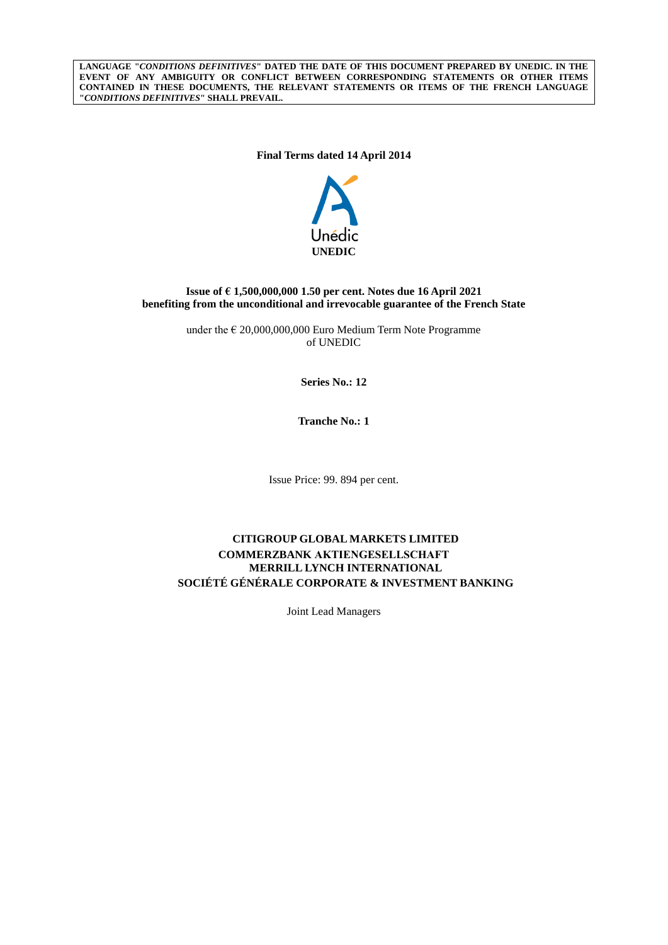**LANGUAGE "***CONDITIONS DEFINITIVES***" DATED THE DATE OF THIS DOCUMENT PREPARED BY UNEDIC. IN THE**  EVENT OF ANY AMBIGUITY OR CONFLICT BETWEEN CORRESPONDING STATEMENTS OR OTHER ITEMS **CONTAINED IN THESE DOCUMENTS, THE RELEVANT STATEMENTS OR ITEMS OF THE FRENCH LANGUAGE "***CONDITIONS DEFINITIVES***" SHALL PREVAIL.**

### **Final Terms dated 14 April 2014**



### **Issue of € 1,500,000,000 1.50 per cent. Notes due 16 April 2021 benefiting from the unconditional and irrevocable guarantee of the French State**

under the  $\epsilon$  20,000,000,000 Euro Medium Term Note Programme of UNEDIC

**Series No.: 12**

**Tranche No.: 1**

Issue Price: 99. 894 per cent.

# **CITIGROUP GLOBAL MARKETS LIMITED COMMERZBANK AKTIENGESELLSCHAFT MERRILL LYNCH INTERNATIONAL SOCIÉTÉ GÉNÉRALE CORPORATE & INVESTMENT BANKING**

Joint Lead Managers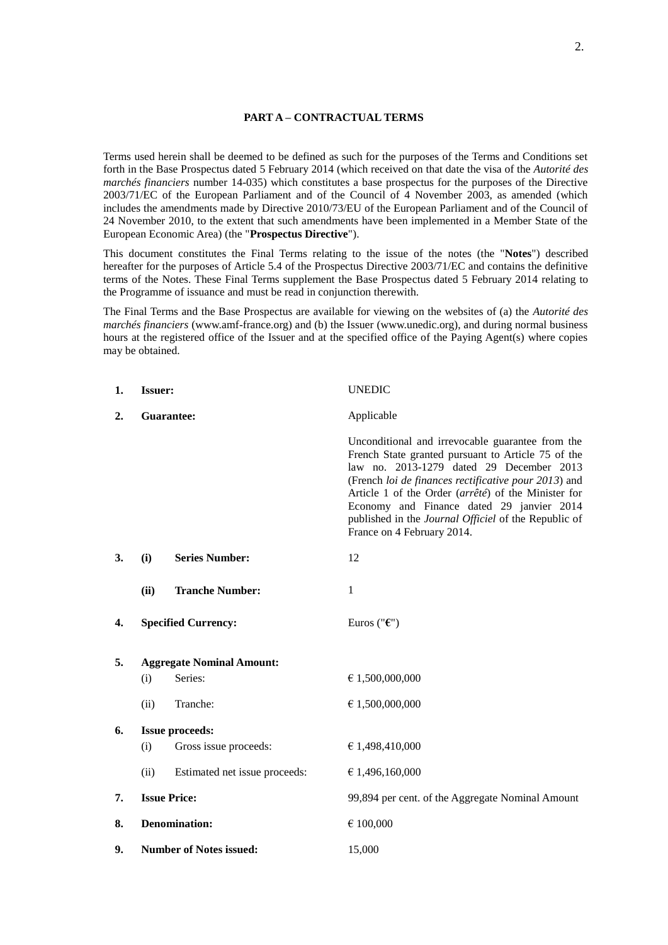### **PART A – CONTRACTUAL TERMS**

Terms used herein shall be deemed to be defined as such for the purposes of the Terms and Conditions set forth in the Base Prospectus dated 5 February 2014 (which received on that date the visa of the *Autorité des marchés financiers* number 14-035) which constitutes a base prospectus for the purposes of the Directive 2003/71/EC of the European Parliament and of the Council of 4 November 2003, as amended (which includes the amendments made by Directive 2010/73/EU of the European Parliament and of the Council of 24 November 2010, to the extent that such amendments have been implemented in a Member State of the European Economic Area) (the "**Prospectus Directive**").

This document constitutes the Final Terms relating to the issue of the notes (the "**Notes**") described hereafter for the purposes of Article 5.4 of the Prospectus Directive 2003/71/EC and contains the definitive terms of the Notes. These Final Terms supplement the Base Prospectus dated 5 February 2014 relating to the Programme of issuance and must be read in conjunction therewith.

The Final Terms and the Base Prospectus are available for viewing on the websites of (a) the *Autorité des marchés financiers* (www.amf-france.org) and (b) the Issuer (www.unedic.org), and during normal business hours at the registered office of the Issuer and at the specified office of the Paying Agent(s) where copies may be obtained.

| 1. | <b>Issuer:</b>                   |                               | <b>UNEDIC</b>                                                                                                                                                                                                                                                                                                                                                                                        |
|----|----------------------------------|-------------------------------|------------------------------------------------------------------------------------------------------------------------------------------------------------------------------------------------------------------------------------------------------------------------------------------------------------------------------------------------------------------------------------------------------|
| 2. | Guarantee:                       |                               | Applicable                                                                                                                                                                                                                                                                                                                                                                                           |
|    |                                  |                               | Unconditional and irrevocable guarantee from the<br>French State granted pursuant to Article 75 of the<br>law no. 2013-1279 dated 29 December 2013<br>(French loi de finances rectificative pour 2013) and<br>Article 1 of the Order (arrêté) of the Minister for<br>Economy and Finance dated 29 janvier 2014<br>published in the Journal Officiel of the Republic of<br>France on 4 February 2014. |
| 3. | (i)                              | <b>Series Number:</b>         | 12                                                                                                                                                                                                                                                                                                                                                                                                   |
|    | (ii)                             | <b>Tranche Number:</b>        | $\mathbf{1}$                                                                                                                                                                                                                                                                                                                                                                                         |
| 4. |                                  | <b>Specified Currency:</b>    | Euros (" $\epsilon$ ")                                                                                                                                                                                                                                                                                                                                                                               |
| 5. | <b>Aggregate Nominal Amount:</b> |                               |                                                                                                                                                                                                                                                                                                                                                                                                      |
|    | (i)                              | Series:                       | € 1,500,000,000                                                                                                                                                                                                                                                                                                                                                                                      |
|    | (ii)                             | Tranche:                      | € 1,500,000,000                                                                                                                                                                                                                                                                                                                                                                                      |
| 6. | <b>Issue proceeds:</b>           |                               |                                                                                                                                                                                                                                                                                                                                                                                                      |
|    | (i)                              | Gross issue proceeds:         | € 1,498,410,000                                                                                                                                                                                                                                                                                                                                                                                      |
|    | (ii)                             | Estimated net issue proceeds: | € 1,496,160,000                                                                                                                                                                                                                                                                                                                                                                                      |
| 7. | <b>Issue Price:</b>              |                               | 99,894 per cent. of the Aggregate Nominal Amount                                                                                                                                                                                                                                                                                                                                                     |
| 8. | <b>Denomination:</b>             |                               | € 100,000                                                                                                                                                                                                                                                                                                                                                                                            |
| 9. | <b>Number of Notes issued:</b>   |                               | 15,000                                                                                                                                                                                                                                                                                                                                                                                               |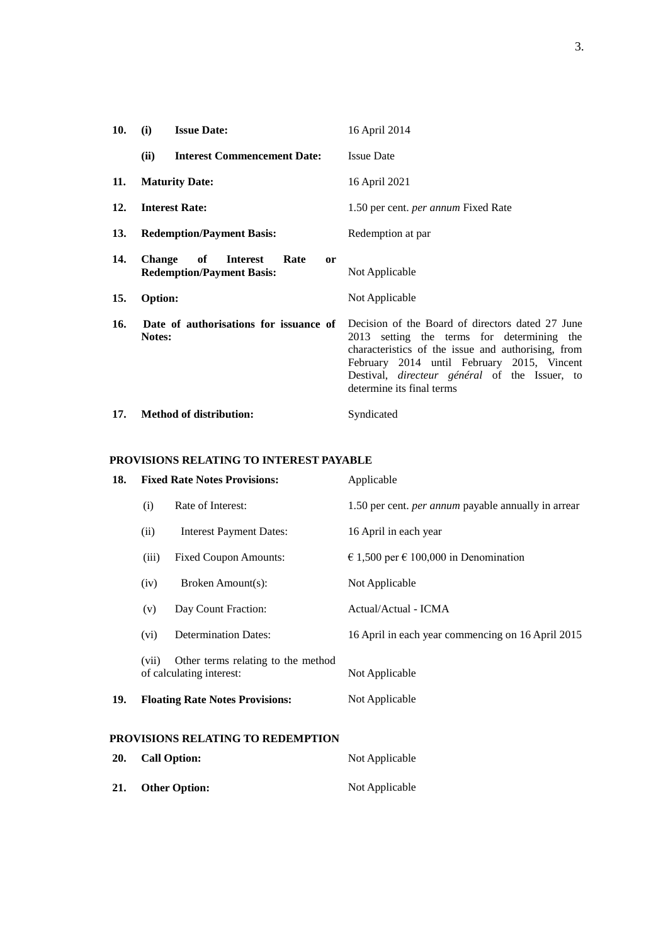| 10. | (i)            | <b>Issue Date:</b>                                                                 | 16 April 2014                                                                                                                                                                                                                                                                           |
|-----|----------------|------------------------------------------------------------------------------------|-----------------------------------------------------------------------------------------------------------------------------------------------------------------------------------------------------------------------------------------------------------------------------------------|
|     | (ii)           | <b>Interest Commencement Date:</b>                                                 | <b>Issue Date</b>                                                                                                                                                                                                                                                                       |
| 11. |                | <b>Maturity Date:</b>                                                              | 16 April 2021                                                                                                                                                                                                                                                                           |
| 12. |                | <b>Interest Rate:</b>                                                              | 1.50 per cent. <i>per annum</i> Fixed Rate                                                                                                                                                                                                                                              |
| 13. |                | <b>Redemption/Payment Basis:</b>                                                   | Redemption at par                                                                                                                                                                                                                                                                       |
| 14. | <b>Change</b>  | of<br><b>Interest</b><br>Rate<br><sub>or</sub><br><b>Redemption/Payment Basis:</b> | Not Applicable                                                                                                                                                                                                                                                                          |
| 15. | <b>Option:</b> |                                                                                    | Not Applicable                                                                                                                                                                                                                                                                          |
| 16. | Notes:         | Date of authorisations for issuance of                                             | Decision of the Board of directors dated 27 June<br>2013 setting the terms for determining the<br>characteristics of the issue and authorising, from<br>February 2014 until February 2015, Vincent<br>Destival, <i>directeur</i> général of the Issuer, to<br>determine its final terms |
| 17. |                | <b>Method of distribution:</b>                                                     | Syndicated                                                                                                                                                                                                                                                                              |

# **PROVISIONS RELATING TO INTEREST PAYABLE**

| 18.                                                             | <b>Fixed Rate Notes Provisions:</b> |                                                                | Applicable                                                 |
|-----------------------------------------------------------------|-------------------------------------|----------------------------------------------------------------|------------------------------------------------------------|
|                                                                 | (i)                                 | Rate of Interest:                                              | 1.50 per cent. <i>per annum</i> payable annually in arrear |
|                                                                 | (ii)                                | <b>Interest Payment Dates:</b>                                 | 16 April in each year                                      |
|                                                                 | (iii)                               | <b>Fixed Coupon Amounts:</b>                                   | € 1,500 per € 100,000 in Denomination                      |
|                                                                 | (iv)                                | Broken Amount(s):                                              | Not Applicable                                             |
|                                                                 | (v)                                 | Day Count Fraction:                                            | Actual/Actual - ICMA                                       |
|                                                                 | (vi)                                | <b>Determination Dates:</b>                                    | 16 April in each year commencing on 16 April 2015          |
|                                                                 | (vii)                               | Other terms relating to the method<br>of calculating interest: | Not Applicable                                             |
| 19.                                                             |                                     | <b>Floating Rate Notes Provisions:</b>                         | Not Applicable                                             |
| PROVISIONS RELATING TO REDEMPTION<br>20.<br><b>Call Option:</b> |                                     |                                                                | Not Applicable                                             |
|                                                                 |                                     |                                                                |                                                            |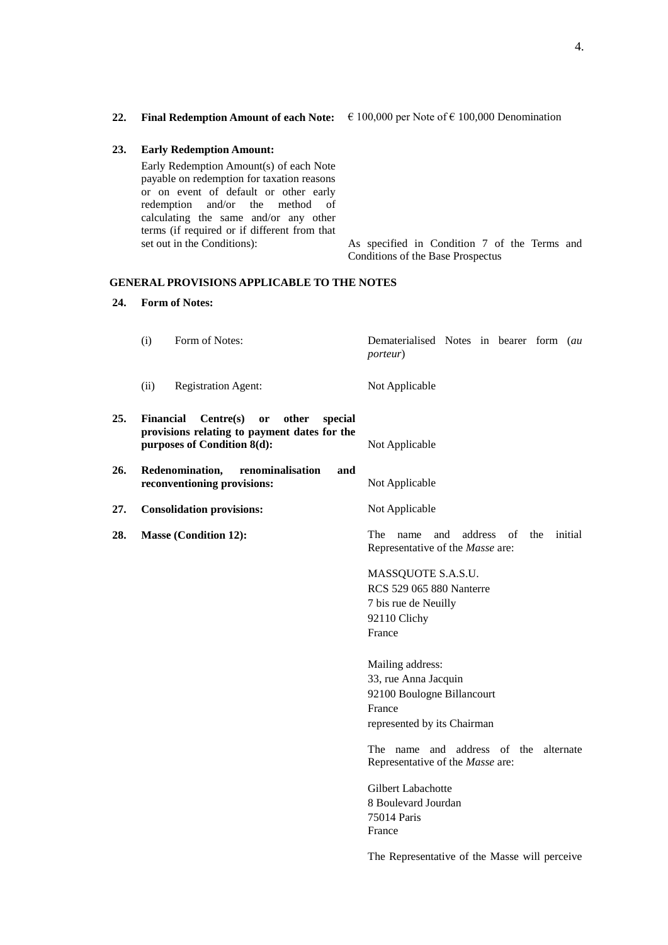| 23. | <b>Early Redemption Amount:</b>                                                                                                                                                                                                                                                           |                                                                                   |
|-----|-------------------------------------------------------------------------------------------------------------------------------------------------------------------------------------------------------------------------------------------------------------------------------------------|-----------------------------------------------------------------------------------|
|     | Early Redemption Amount(s) of each Note<br>payable on redemption for taxation reasons<br>or on event of default or other early<br>redemption and/or the method of<br>calculating the same and/or any other<br>terms (if required or if different from that<br>set out in the Conditions): | As specified in Condition 7 of the Terms and<br>Conditions of the Base Prospectus |
|     | <b>GENERAL PROVISIONS APPLICABLE TO THE NOTES</b>                                                                                                                                                                                                                                         |                                                                                   |

#### **GENERAL**

#### **24. Form of Notes:**

|     |                                                                                                                              | <i>porteur</i> ) |
|-----|------------------------------------------------------------------------------------------------------------------------------|------------------|
|     | <b>Registration Agent:</b><br>(ii)                                                                                           | Not Applicable   |
| 25. | Financial<br>Centre(s) or other<br>special<br>provisions relating to payment dates for the<br>purposes of Condition $8(d)$ : | Not Applicable   |
| 26. | Redenomination,<br>renominalisation<br>and<br>reconventioning provisions:                                                    | Not Applicable   |
| 27. | <b>Consolidation provisions:</b>                                                                                             | Not Applicable   |

(i) Form of Notes: Dematerialised Notes in bearer form (*au* 

**28. Masse (Condition 12):** The name and address of the initial Representative of the *Masse* are:

> MASSQUOTE S.A.S.U. RCS 529 065 880 Nanterre 7 bis rue de Neuilly 92110 Clichy France

Mailing address: 33, rue Anna Jacquin 92100 Boulogne Billancourt France represented by its Chairman

The name and address of the alternate Representative of the *Masse* are:

Gilbert Labachotte 8 Boulevard Jourdan 75014 Paris France

The Representative of the Masse will perceive

**22. Final Redemption Amount of each Note:** € 100,000 per Note of € 100,000 Denomination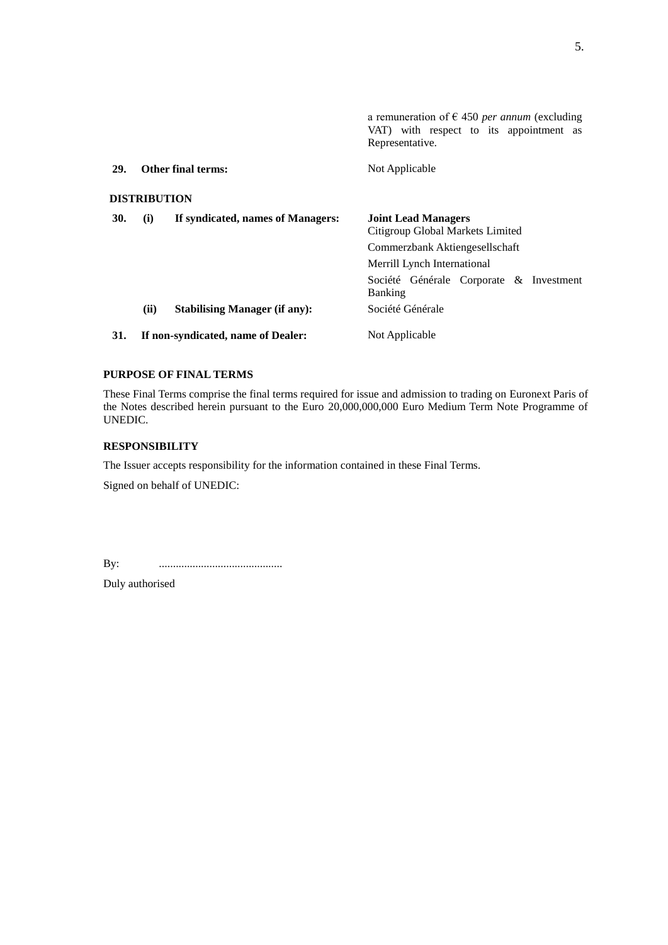|            |                     |                                      | a remuneration of $\epsilon$ 450 <i>per annum</i> (excluding<br>VAT) with respect to its appointment as<br>Representative. |
|------------|---------------------|--------------------------------------|----------------------------------------------------------------------------------------------------------------------------|
| 29.        |                     | <b>Other final terms:</b>            | Not Applicable                                                                                                             |
|            | <b>DISTRIBUTION</b> |                                      |                                                                                                                            |
| <b>30.</b> | (i)                 | If syndicated, names of Managers:    | <b>Joint Lead Managers</b><br>Citigroup Global Markets Limited                                                             |
|            |                     |                                      | Commerzbank Aktiengesellschaft                                                                                             |
|            |                     |                                      | Merrill Lynch International                                                                                                |
|            |                     |                                      | Société Générale Corporate & Investment<br><b>Banking</b>                                                                  |
|            | (ii)                | <b>Stabilising Manager (if any):</b> | Société Générale                                                                                                           |
| 31.        |                     | If non-syndicated, name of Dealer:   | Not Applicable                                                                                                             |

### **PURPOSE OF FINAL TERMS**

These Final Terms comprise the final terms required for issue and admission to trading on Euronext Paris of the Notes described herein pursuant to the Euro 20,000,000,000 Euro Medium Term Note Programme of UNEDIC.

### **RESPONSIBILITY**

The Issuer accepts responsibility for the information contained in these Final Terms.

Signed on behalf of UNEDIC:

By: ............................................

Duly authorised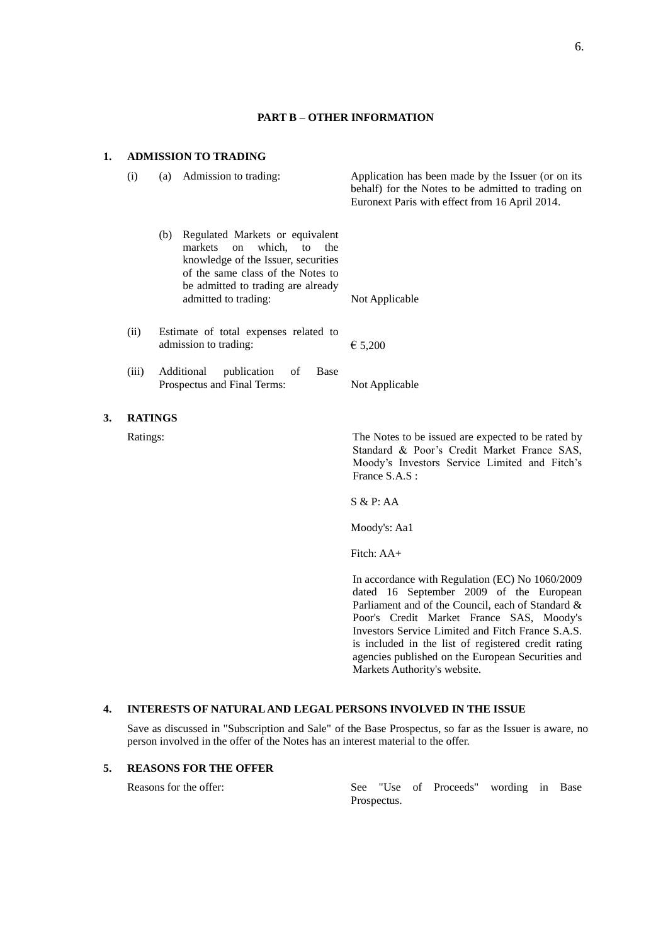### **PART B – OTHER INFORMATION**

### **1. ADMISSION TO TRADING**

**3.** 

| (i)            | (a)                                                            | Admission to trading:                                                                                                                                                                                                 | Application has been made by the Issuer (or on its<br>behalf) for the Notes to be admitted to trading on<br>Euronext Paris with effect from 16 April 2014.          |
|----------------|----------------------------------------------------------------|-----------------------------------------------------------------------------------------------------------------------------------------------------------------------------------------------------------------------|---------------------------------------------------------------------------------------------------------------------------------------------------------------------|
|                |                                                                | (b) Regulated Markets or equivalent<br>which,<br>markets<br>on<br>to<br>the<br>knowledge of the Issuer, securities<br>of the same class of the Notes to<br>be admitted to trading are already<br>admitted to trading: | Not Applicable                                                                                                                                                      |
| (ii)           | Estimate of total expenses related to<br>admission to trading: |                                                                                                                                                                                                                       | € 5,200                                                                                                                                                             |
| (iii)          |                                                                | Additional<br>publication<br>of<br>Base<br>Prospectus and Final Terms:                                                                                                                                                | Not Applicable                                                                                                                                                      |
| <b>RATINGS</b> |                                                                |                                                                                                                                                                                                                       |                                                                                                                                                                     |
| Ratings:       |                                                                |                                                                                                                                                                                                                       | The Notes to be issued are expected to be rated by<br>Standard & Poor's Credit Market France SAS,<br>Moody's Investors Service Limited and Fitch's<br>France S.A.S: |
|                |                                                                |                                                                                                                                                                                                                       | S & P: AA                                                                                                                                                           |
|                |                                                                |                                                                                                                                                                                                                       | Moody's: Aa1                                                                                                                                                        |
|                |                                                                |                                                                                                                                                                                                                       | Fitch: AA+                                                                                                                                                          |
|                |                                                                |                                                                                                                                                                                                                       | In accordance with Regulation (EC) No 1060/2009                                                                                                                     |

dated 16 September 2009 of the European Parliament and of the Council, each of Standard & Poor's Credit Market France SAS, Moody's Investors Service Limited and Fitch France S.A.S. is included in the list of registered credit rating agencies published on the European Securities and Markets Authority's website.

#### **4. INTERESTS OF NATURAL AND LEGAL PERSONS INVOLVED IN THE ISSUE**

Save as discussed in "Subscription and Sale" of the Base Prospectus, so far as the Issuer is aware, no person involved in the offer of the Notes has an interest material to the offer.

## **5. REASONS FOR THE OFFER**

Reasons for the offer: See "Use of Proceeds" wording in Base Prospectus.